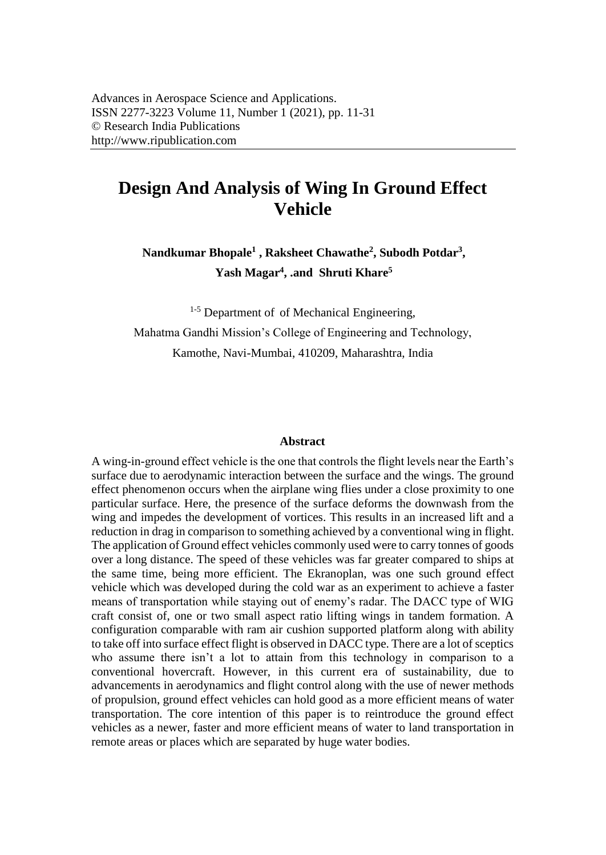# **Design And Analysis of Wing In Ground Effect Vehicle**

**Nandkumar Bhopale<sup>1</sup> , Raksheet Chawathe<sup>2</sup> , Subodh Potdar<sup>3</sup> , Yash Magar<sup>4</sup> , .and Shruti Khare<sup>5</sup>**

 $1-5$  Department of of Mechanical Engineering, Mahatma Gandhi Mission's College of Engineering and Technology, Kamothe, Navi-Mumbai, 410209, Maharashtra, India

#### **Abstract**

A wing-in-ground effect vehicle is the one that controls the flight levels near the Earth's surface due to aerodynamic interaction between the surface and the wings. The ground effect phenomenon occurs when the airplane wing flies under a close proximity to one particular surface. Here, the presence of the surface deforms the downwash from the wing and impedes the development of vortices. This results in an increased lift and a reduction in drag in comparison to something achieved by a conventional wing in flight. The application of Ground effect vehicles commonly used were to carry tonnes of goods over a long distance. The speed of these vehicles was far greater compared to ships at the same time, being more efficient. The Ekranoplan, was one such ground effect vehicle which was developed during the cold war as an experiment to achieve a faster means of transportation while staying out of enemy's radar. The DACC type of WIG craft consist of, one or two small aspect ratio lifting wings in tandem formation. A configuration comparable with ram air cushion supported platform along with ability to take off into surface effect flight is observed in DACC type. There are a lot of sceptics who assume there isn't a lot to attain from this technology in comparison to a conventional hovercraft. However, in this current era of sustainability, due to advancements in aerodynamics and flight control along with the use of newer methods of propulsion, ground effect vehicles can hold good as a more efficient means of water transportation. The core intention of this paper is to reintroduce the ground effect vehicles as a newer, faster and more efficient means of water to land transportation in remote areas or places which are separated by huge water bodies.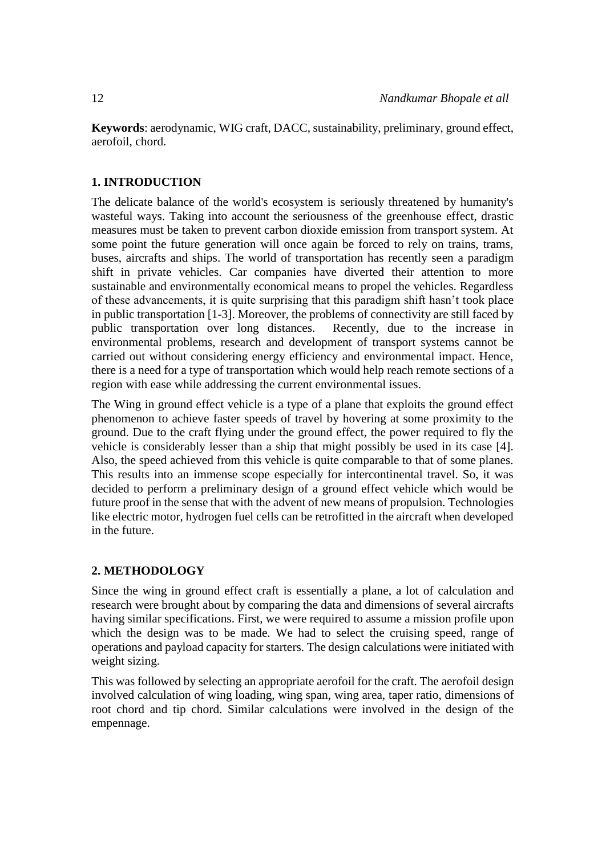**Keywords**: aerodynamic, WIG craft, DACC, sustainability, preliminary, ground effect, aerofoil, chord.

### **1. INTRODUCTION**

The delicate balance of the world's ecosystem is seriously threatened by humanity's wasteful ways. Taking into account the seriousness of the greenhouse effect, drastic measures must be taken to prevent carbon dioxide emission from transport system. At some point the future generation will once again be forced to rely on trains, trams, buses, aircrafts and ships. The world of transportation has recently seen a paradigm shift in private vehicles. Car companies have diverted their attention to more sustainable and environmentally economical means to propel the vehicles. Regardless of these advancements, it is quite surprising that this paradigm shift hasn't took place in public transportation [1-3]. Moreover, the problems of connectivity are still faced by public transportation over long distances. Recently, due to the increase in environmental problems, research and development of transport systems cannot be carried out without considering energy efficiency and environmental impact. Hence, there is a need for a type of transportation which would help reach remote sections of a region with ease while addressing the current environmental issues.

The Wing in ground effect vehicle is a type of a plane that exploits the ground effect phenomenon to achieve faster speeds of travel by hovering at some proximity to the ground. Due to the craft flying under the ground effect, the power required to fly the vehicle is considerably lesser than a ship that might possibly be used in its case [4]. Also, the speed achieved from this vehicle is quite comparable to that of some planes. This results into an immense scope especially for intercontinental travel. So, it was decided to perform a preliminary design of a ground effect vehicle which would be future proof in the sense that with the advent of new means of propulsion. Technologies like electric motor, hydrogen fuel cells can be retrofitted in the aircraft when developed in the future.

## **2. METHODOLOGY**

Since the wing in ground effect craft is essentially a plane, a lot of calculation and research were brought about by comparing the data and dimensions of several aircrafts having similar specifications. First, we were required to assume a mission profile upon which the design was to be made. We had to select the cruising speed, range of operations and payload capacity for starters. The design calculations were initiated with weight sizing.

This was followed by selecting an appropriate aerofoil for the craft. The aerofoil design involved calculation of wing loading, wing span, wing area, taper ratio, dimensions of root chord and tip chord. Similar calculations were involved in the design of the empennage.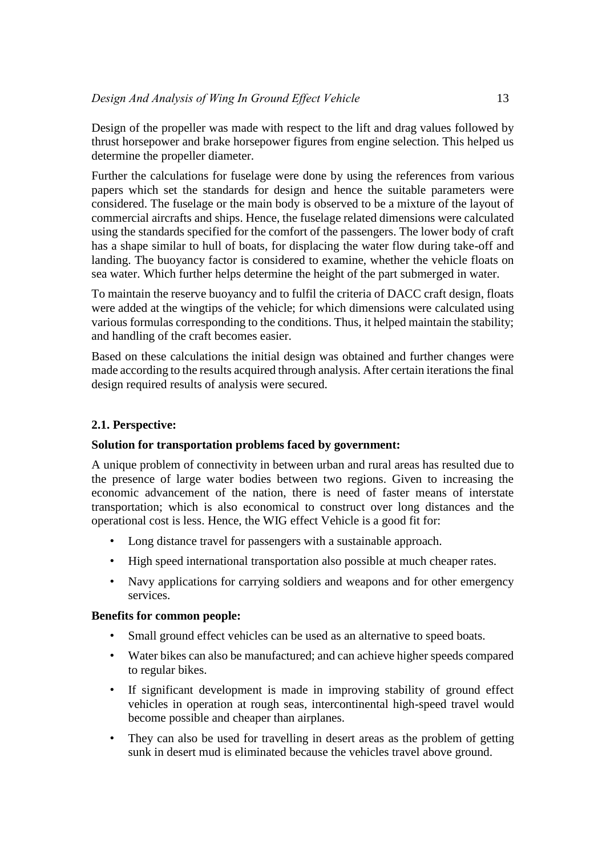Design of the propeller was made with respect to the lift and drag values followed by thrust horsepower and brake horsepower figures from engine selection. This helped us determine the propeller diameter.

Further the calculations for fuselage were done by using the references from various papers which set the standards for design and hence the suitable parameters were considered. The fuselage or the main body is observed to be a mixture of the layout of commercial aircrafts and ships. Hence, the fuselage related dimensions were calculated using the standards specified for the comfort of the passengers. The lower body of craft has a shape similar to hull of boats, for displacing the water flow during take-off and landing. The buoyancy factor is considered to examine, whether the vehicle floats on sea water. Which further helps determine the height of the part submerged in water.

To maintain the reserve buoyancy and to fulfil the criteria of DACC craft design, floats were added at the wingtips of the vehicle; for which dimensions were calculated using various formulas corresponding to the conditions. Thus, it helped maintain the stability; and handling of the craft becomes easier.

Based on these calculations the initial design was obtained and further changes were made according to the results acquired through analysis. After certain iterations the final design required results of analysis were secured.

# **2.1. Perspective:**

## **Solution for transportation problems faced by government:**

A unique problem of connectivity in between urban and rural areas has resulted due to the presence of large water bodies between two regions. Given to increasing the economic advancement of the nation, there is need of faster means of interstate transportation; which is also economical to construct over long distances and the operational cost is less. Hence, the WIG effect Vehicle is a good fit for:

- Long distance travel for passengers with a sustainable approach.
- High speed international transportation also possible at much cheaper rates.
- Navy applications for carrying soldiers and weapons and for other emergency services.

#### **Benefits for common people:**

- Small ground effect vehicles can be used as an alternative to speed boats.
- Water bikes can also be manufactured; and can achieve higher speeds compared to regular bikes.
- If significant development is made in improving stability of ground effect vehicles in operation at rough seas, intercontinental high-speed travel would become possible and cheaper than airplanes.
- They can also be used for travelling in desert areas as the problem of getting sunk in desert mud is eliminated because the vehicles travel above ground.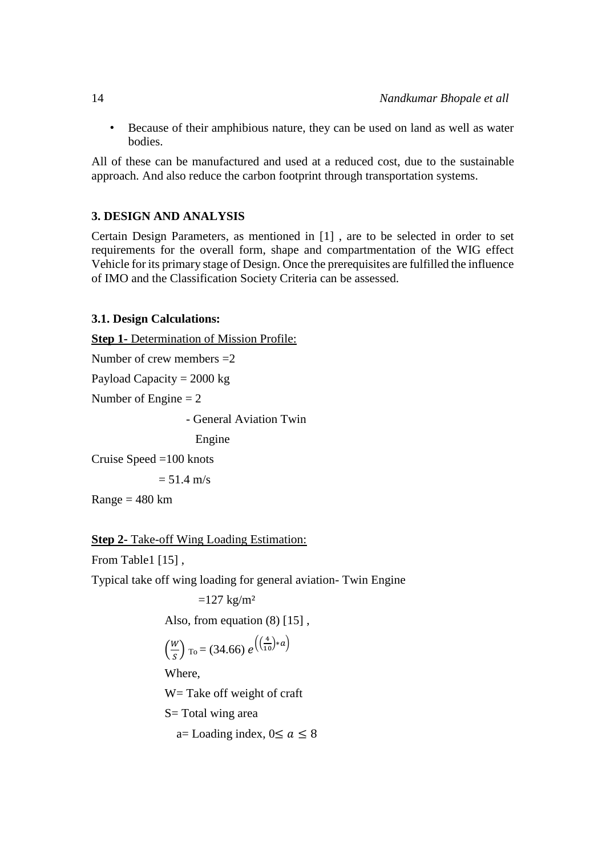• Because of their amphibious nature, they can be used on land as well as water bodies.

All of these can be manufactured and used at a reduced cost, due to the sustainable approach. And also reduce the carbon footprint through transportation systems.

# **3. DESIGN AND ANALYSIS**

Certain Design Parameters, as mentioned in [\[1\] ,](#page-18-0) are to be selected in order to set requirements for the overall form, shape and compartmentation of the WIG effect Vehicle for its primary stage of Design. Once the prerequisites are fulfilled the influence of IMO and the Classification Society Criteria can be assessed.

# **3.1. Design Calculations:**

```
Step 1- Determination of Mission Profile:
```

```
Number of crew members =2
```
Payload Capacity  $= 2000 \text{ kg}$ 

Number of Engine  $= 2$ 

- General Aviation Twin

Engine

Cruise Speed =100 knots

 $= 51.4$  m/s

 $Range = 480$  km

```
Step 2- Take-off Wing Loading Estimation:
```
From Table1 [15],

Typical take off wing loading for general aviation- Twin Engine

 $=127 \text{ kg/m}^2$ 

Also, from equation  $(8)$  [15],

$$
\left(\frac{W}{S}\right)_{\text{To}} = (34.66) e^{\left(\left(\frac{4}{10}\right)*a\right)}
$$

Where,

W= Take off weight of craft

S= Total wing area

a= Loading index,  $0 \le a \le 8$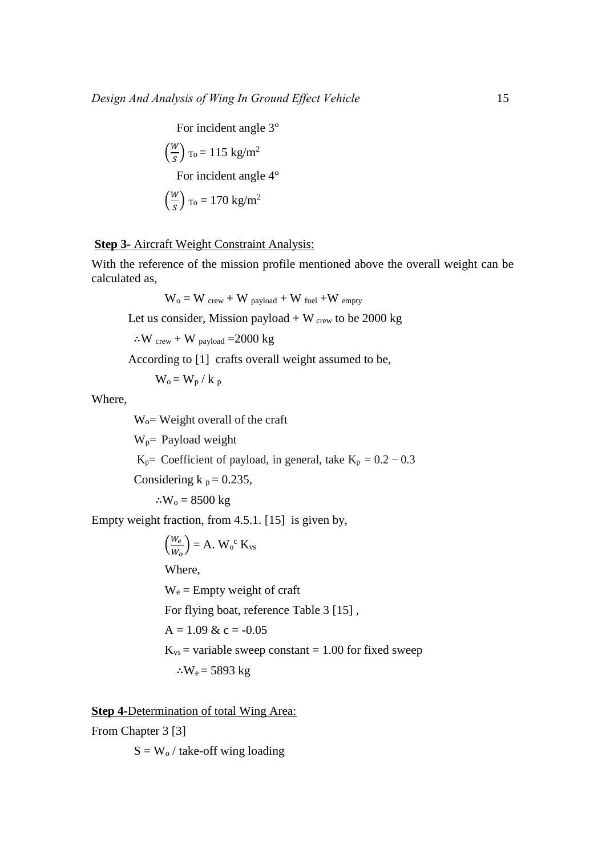For incident angle 3°

$$
\left(\frac{W}{s}\right) \text{ to} = 115 \text{ kg/m}^2
$$
  
For incident angle 4°  

$$
\left(\frac{W}{s}\right) \text{ to} = 170 \text{ kg/m}^2
$$

## **Step 3-** Aircraft Weight Constraint Analysis:

With the reference of the mission profile mentioned above the overall weight can be calculated as,

$$
W_o = W_{crew} + W_{payload} + W_{fuel} + W_{empty}
$$

Let us consider, Mission payload  $+ W_{\text{crew}}$  to be 2000 kg

∴W crew + W payload  $=$  2000 kg

According to [\[1\]](#page-18-0) crafts overall weight assumed to be,

 $W_o = W_p / k_p$ 

Where,

Wo= Weight overall of the craft

 $W_p$ = Payload weight

K<sub>p</sub>= Coefficient of payload, in general, take K<sub>p</sub> =  $0.2 - 0.3$ 

Considering k  $_p = 0.235$ ,

∴ $W_0$  = 8500 kg

Empty weight fraction, from 4.5.1. [\[15\]](#page-19-0) is given by,

$$
\left(\frac{W_e}{W_o}\right) = A. W_o^c K_{vs}
$$
  
Where,  
W<sub>e</sub> = Empty weight of craft  
For flying boat, reference Table 3 [15],  
A = 1.09 & c = -0.05  
K<sub>vs</sub> = variable sweep constant = 1.00 for fixed sweep  
:.W<sub>e</sub> = 5893 kg

**Step 4-**Determination of total Wing Area:

From Chapter 3 [3]

 $S = W_0 /$  take-off wing loading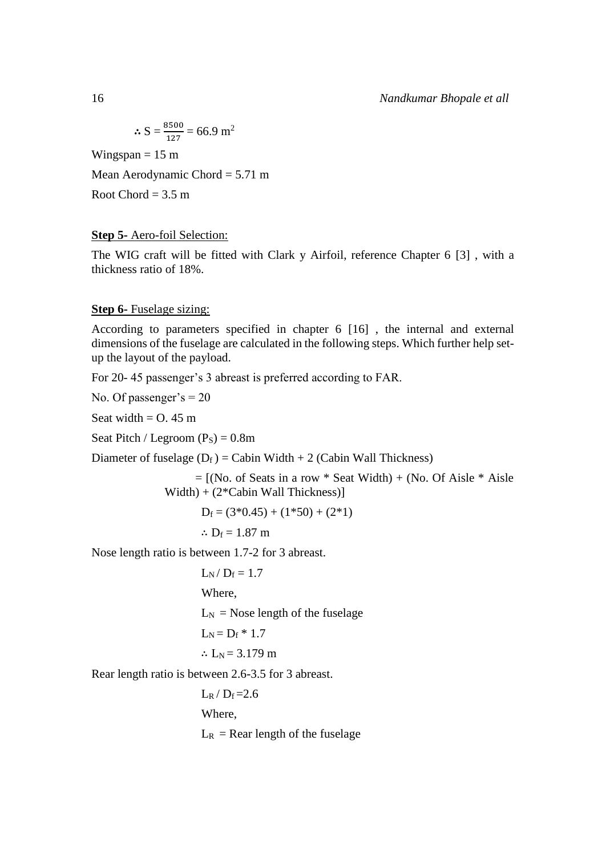$$
\therefore S = \frac{8500}{127} = 66.9 \text{ m}^2
$$

Wingspan  $= 15$  m

Mean Aerodynamic Chord = 5.71 m

Root Chord  $= 3.5$  m

## **Step 5-** Aero-foil Selection:

The WIG craft will be fitted with Clark y Airfoil, reference Chapter 6 [\[3\] ,](#page-18-1) with a thickness ratio of 18%.

### **Step 6-** Fuselage sizing:

According to parameters specified in chapter 6 [\[16\] ,](#page-19-1) the internal and external dimensions of the fuselage are calculated in the following steps. Which further help setup the layout of the payload.

For 20- 45 passenger's 3 abreast is preferred according to FAR.

No. Of passenger's  $= 20$ 

Seat width  $=$  O. 45 m

Seat Pitch / Legroom  $(P<sub>S</sub>) = 0.8$ m

Diameter of fuselage  $(D_f) =$  Cabin Width + 2 (Cabin Wall Thickness)

 $=$  [(No. of Seats in a row  $*$  Seat Width) + (No. Of Aisle  $*$  Aisle Width) + (2\*Cabin Wall Thickness)]

 $D_f = (3*0.45) + (1*50) + (2*1)$ 

$$
\div~D_f=1.87~m
$$

Nose length ratio is between 1.7-2 for 3 abreast.

 $L_N / D_f = 1.7$ Where,  $L_N$  = Nose length of the fuselage  $L_N = D_f * 1.7$ ∴  $L_N$  = 3.179 m

Rear length ratio is between 2.6-3.5 for 3 abreast.

 $L_R / D_f = 2.6$ Where,  $L_R$  = Rear length of the fuselage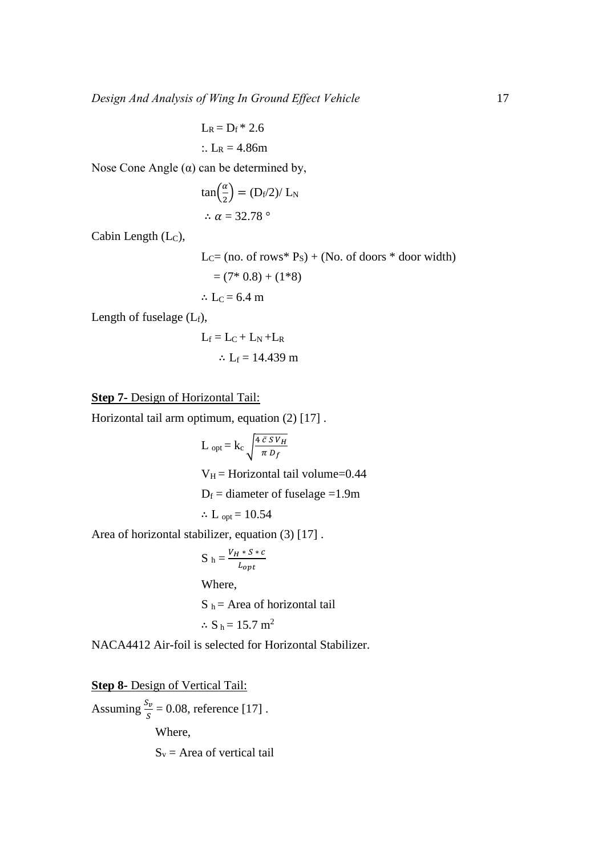$$
L_R = D_f * 2.6
$$
  
:.  $L_R = 4.86$ m

Nose Cone Angle  $(\alpha)$  can be determined by,

$$
\tan\left(\frac{\alpha}{2}\right) = \frac{(\mathrm{D}_{\mathrm{f}}/2)}{\mathrm{L}_{\mathrm{N}}}
$$

$$
\therefore \alpha = 32.78^{\circ}
$$

Cabin Length (Lc),

$$
LC = (no. of rows* PS) + (No. of doors * door width)
$$
  
= (7\* 0.8) + (1\*8)  

$$
\therefore LC = 6.4 m
$$

Length of fuselage  $(L_f)$ ,

$$
L_f = L_C + L_N + L_R
$$
  

$$
\therefore L_f = 14.439 \text{ m}
$$

## **Step 7-** Design of Horizontal Tail:

Horizontal tail arm optimum, equation (2) [\[17\] .](#page-19-2)

L <sub>opt</sub> = k<sub>c</sub> 
$$
\sqrt{\frac{4 \bar{c} S V_H}{\pi D_f}}
$$
  
V<sub>H</sub> = Horizontal tail volume=0.44  
D<sub>f</sub> = diameter of fuselage =1.9m  
 $\therefore$  L<sub>opt</sub> = 10.54

Area of horizontal stabilizer, equation (3) [17].

$$
S_h = \frac{V_H * S * c}{L_{opt}}
$$
  
Where,  

$$
S_h = \text{Area of horizontal tail}
$$
  

$$
\therefore S_h = 15.7 \text{ m}^2
$$

NACA4412 Air-foil is selected for Horizontal Stabilizer.

**Step 8-** Design of Vertical Tail:

Assuming  $\frac{S_v}{S} = 0.08$ , reference [17].

Where,

 $S_v$  = Area of vertical tail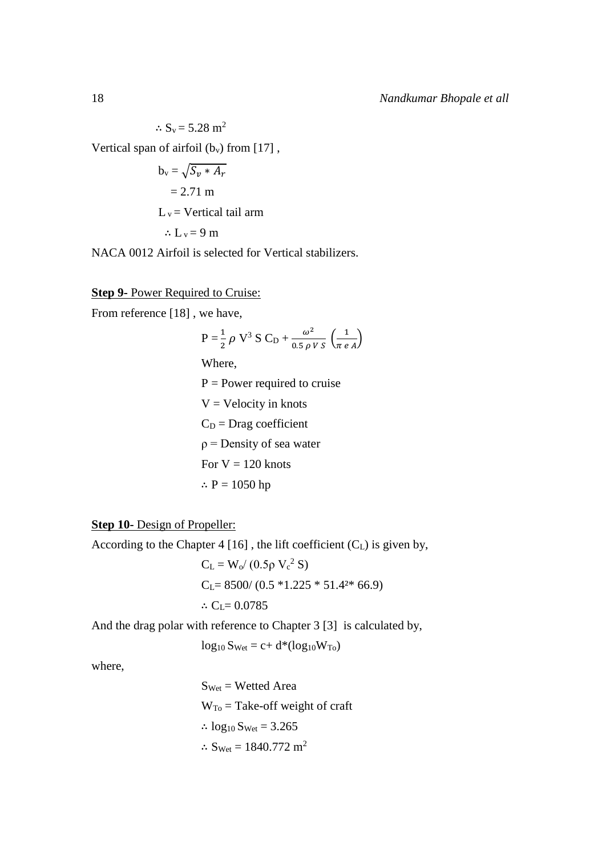$\therefore$  S<sub>v</sub> = 5.28 m<sup>2</sup> Vertical span of airfoil  $(b_v)$  from [17],  $b_v = \sqrt{S_v * A_r}$ 

 $= 2.71 \text{ m}$  $L_v =$  Vertical tail arm

$$
\therefore L_v = 9 \text{ m}
$$

NACA 0012 Airfoil is selected for Vertical stabilizers.

#### **Step 9-** Power Required to Cruise:

From reference [\[18\] ,](#page-19-3) we have,

$$
P = \frac{1}{2} \rho V^3 S C_D + \frac{\omega^2}{0.5 \rho V S} \left(\frac{1}{\pi e A}\right)
$$

Where,

 $P = Power required to cruise$  $V =$  Velocity in knots  $C_D$  = Drag coefficient  $\rho$  = Density of sea water For  $V = 120$  knots ∴  $P = 1050$  hp

**Step 10-** Design of Propeller:

According to the Chapter  $4 \left[ 16 \right]$ , the lift coefficient (C<sub>L</sub>) is given by,

 $C_{L} = W_{o}/(0.5 \rho V_{c}^{2} S)$  $C<sub>L</sub>= 8500/(0.5 *1.225 * 51.4<sup>2</sup>* 66.9)$ ∴  $C_L$ = 0.0785

And the drag polar with reference to Chapter 3 [\[3\]](#page-18-1) is calculated by,

$$
log_{10} S_{Wet} = c + d^*(log_{10} W_{To})
$$

where,

 $S<sub>Wet</sub>$  = Wetted Area  $W_{To}$  = Take-off weight of craft ∴  $log_{10} S_{Wet} = 3.265$ ∴ S<sub>Wet</sub> = 1840.772 m<sup>2</sup>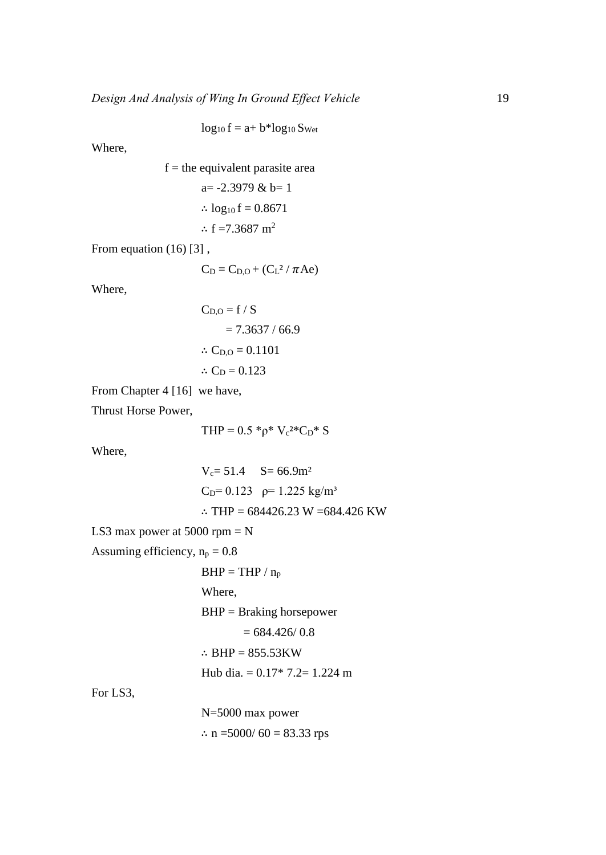$$
log_{10} f = a + b * log_{10} S_{Wet}
$$

Where,

f = the equivalent parasite area  
a= -2.3979 & b= 1  

$$
\therefore \log_{10} f = 0.8671
$$

$$
\therefore f = 7.3687 \text{ m}^2
$$

From equation (16) [3],

$$
C_D = C_{D,O} + (C_L^2 / \pi Ae)
$$

Where,

$$
C_{D,O} = f / S
$$
  
= 7.3637 / 66.9  
∴ C<sub>D,O</sub> = 0.1101  
∴ C<sub>D</sub> = 0.123

From Chapter 4 [\[16\]](#page-19-1) we have,

Thrust Horse Power,

$$
THP = 0.5 *_{\rho} * V_{c}^{2*}C_{D} * S
$$

Where,

$$
V_c = 51.4 \t S = 66.9m2
$$
  
C<sub>D</sub>= 0.123  $\rho$ = 1.225 kg/m<sup>3</sup>  
 $\therefore$  THP = 684426.23 W = 684.426 KW

LS3 max power at  $5000$  rpm = N

Assuming efficiency,  $n_p = 0.8$ 

```
BHP = THP / n_p
```
Where,

BHP = Braking horsepower

```
= 684.426 / 0.8
```
∴ BHP = 855.53KW

Hub dia. = 0.17\* 7.2= 1.224 m

For LS3,

N=5000 max power ∴ n =5000/ 60 = 83.33 rps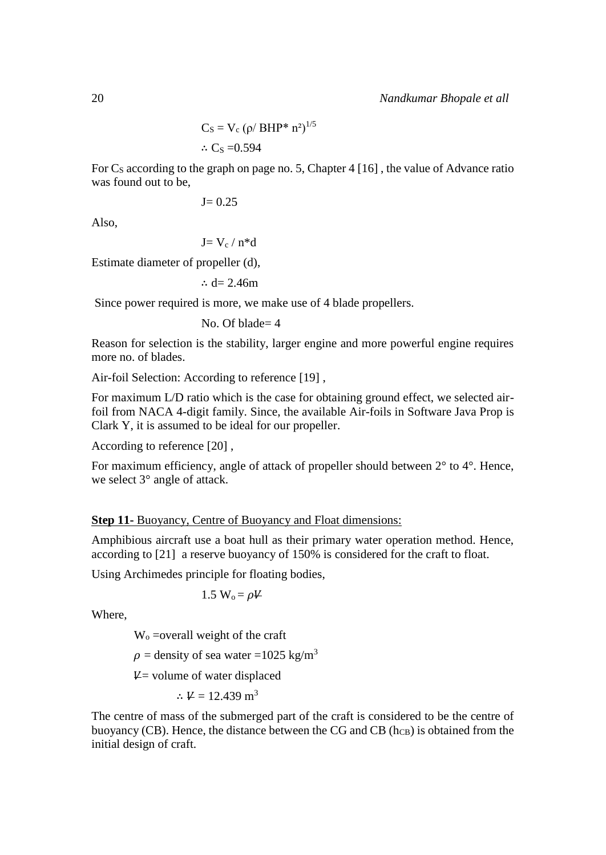$$
C_S = V_c \left( \rho / \, BHP^* \, n^2 \right)^{1/5}
$$
  

$$
\therefore C_S = 0.594
$$

For  $C_s$  according to the graph on page no. 5, Chapter 4 [16], the value of Advance ratio was found out to be,

$$
J\!\!=0.25
$$

Also,

$$
J{=V_c\,/\,n^*d}
$$

Estimate diameter of propeller (d),

∴ d= 2.46m

Since power required is more, we make use of 4 blade propellers.

No. Of blade= 4

Reason for selection is the stability, larger engine and more powerful engine requires more no. of blades.

Air-foil Selection: According to reference [\[19\] ,](#page-19-4)

For maximum L/D ratio which is the case for obtaining ground effect, we selected airfoil from NACA 4-digit family. Since, the available Air-foils in Software Java Prop is Clark Y, it is assumed to be ideal for our propeller.

According to reference [\[20\] ,](#page-19-5)

For maximum efficiency, angle of attack of propeller should between 2° to 4°. Hence, we select 3° angle of attack.

# **Step 11-** Buoyancy, Centre of Buoyancy and Float dimensions:

Amphibious aircraft use a boat hull as their primary water operation method. Hence, according to [\[21\]](#page-19-6) a reserve buoyancy of 150% is considered for the craft to float.

Using Archimedes principle for floating bodies,

1.5  $W_0 = \rho V$ 

Where,

 $W<sub>o</sub> = overall weight of the craft$ 

 $\rho =$  density of sea water =1025 kg/m<sup>3</sup>

 $V =$  volume of water displaced

$$
\therefore \Psi = 12.439 \text{ m}^3
$$

The centre of mass of the submerged part of the craft is considered to be the centre of buoyancy (CB). Hence, the distance between the CG and CB  $(h_{CB})$  is obtained from the initial design of craft.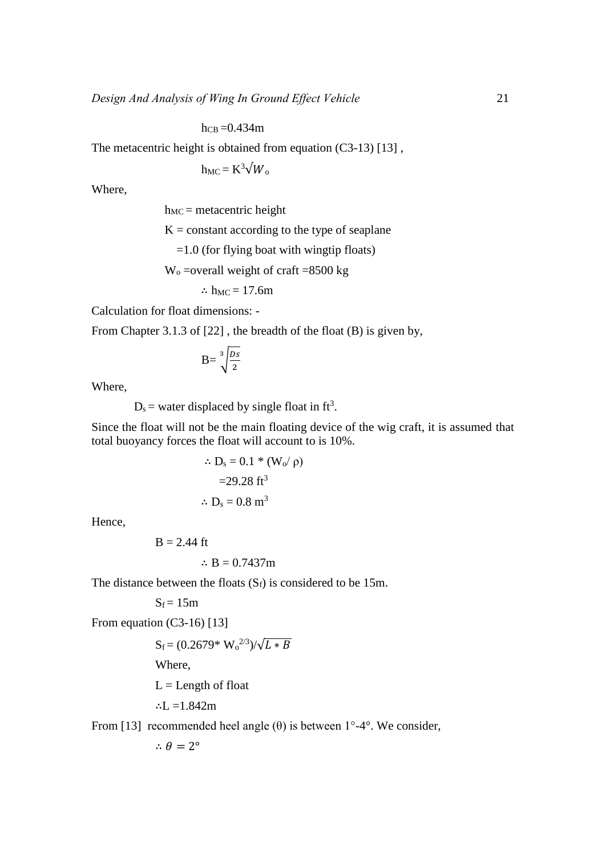$h_{CB} = 0.434$ m

The metacentric height is obtained from equation (C3-13) [13],

 $h_{MC} = K^3 \sqrt{W_0}$ 

Where,

 $h_{MC}$  = metacentric height

 $K = constant according to the type of sequence$ 

 $=1.0$  (for flying boat with wingtip floats)

 $W_0$  =overall weight of craft =8500 kg

$$
\therefore h_{MC} = 17.6m
$$

Calculation for float dimensions: -

From Chapter 3.1.3 of [\[22\] ,](#page-20-0) the breadth of the float (B) is given by,

$$
B = \sqrt[3]{\frac{Ds}{2}}
$$

Where,

 $D_s$  = water displaced by single float in ft<sup>3</sup>.

Since the float will not be the main floating device of the wig craft, it is assumed that total buoyancy forces the float will account to is 10%.

$$
\therefore D_s = 0.1 * (W_0 / \rho)
$$

$$
= 29.28 \text{ ft}^3
$$

$$
\therefore D_s = 0.8 \text{ m}^3
$$

Hence,

$$
B = 2.44 \text{ ft}
$$

$$
\therefore B = 0.7437m
$$

The distance between the floats  $(S_f)$  is considered to be 15m.

 $S_f = 15m$ 

From equation (C3-16) [13]

$$
S_f = (0.2679 * W_0^{2/3})/\sqrt{L*B}
$$

Where,

 $L =$ Length of float

∴L = $1.842m$ 

From [\[13\]](#page-19-7) recommended heel angle  $(\theta)$  is between  $1^{\circ}$ -4°. We consider,

 $\therefore \theta = 2^{\circ}$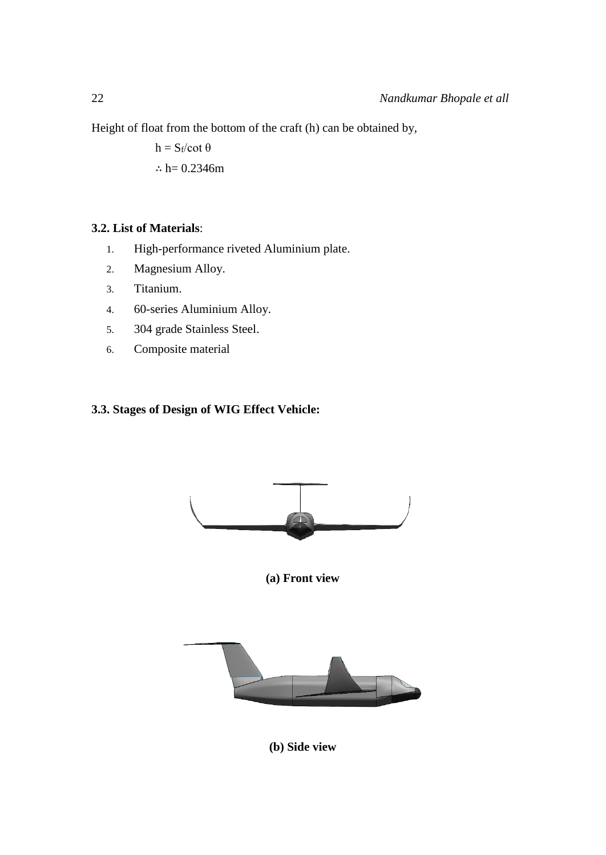Height of float from the bottom of the craft (h) can be obtained by,

 $h = S_f/cot \theta$ ∴  $h = 0.2346m$ 

# **3.2. List of Materials**:

- 1. High-performance riveted Aluminium plate.
- 2. Magnesium Alloy.
- 3. Titanium.
- 4. 60-series Aluminium Alloy.
- 5. 304 grade Stainless Steel.
- 6. Composite material

# **3.3. Stages of Design of WIG Effect Vehicle:**



**(a) Front view**



**(b) Side view**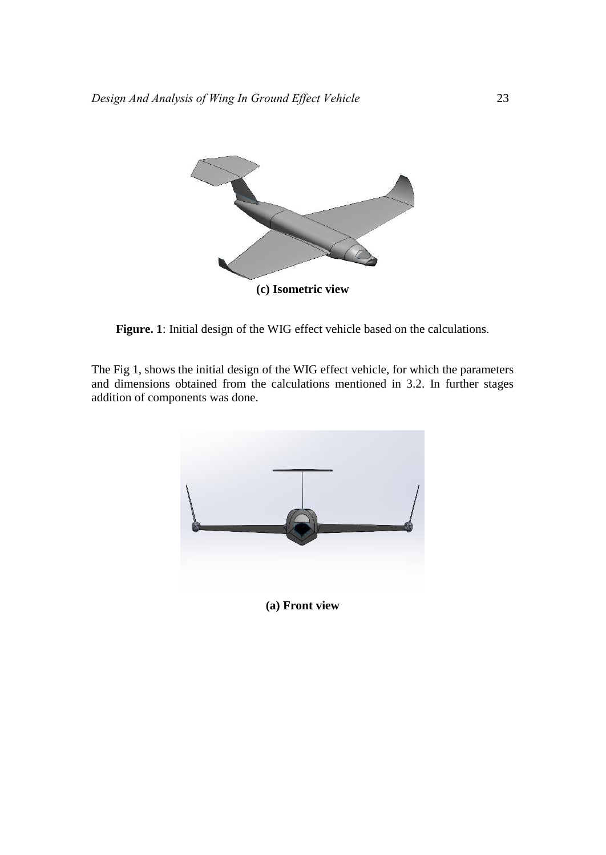

**Figure. 1**: Initial design of the WIG effect vehicle based on the calculations.

The Fig 1, shows the initial design of the WIG effect vehicle, for which the parameters and dimensions obtained from the calculations mentioned in 3.2. In further stages addition of components was done.



**(a) Front view**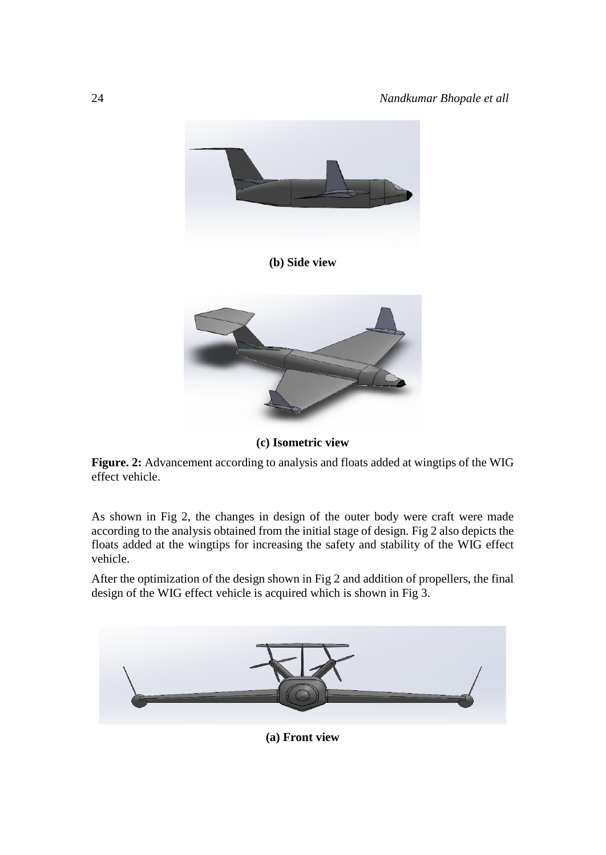

**(b) Side view**



**(c) Isometric view**

**Figure. 2:** Advancement according to analysis and floats added at wingtips of the WIG effect vehicle.

As shown in Fig 2, the changes in design of the outer body were craft were made according to the analysis obtained from the initial stage of design. Fig 2 also depicts the floats added at the wingtips for increasing the safety and stability of the WIG effect vehicle.

After the optimization of the design shown in Fig 2 and addition of propellers, the final design of the WIG effect vehicle is acquired which is shown in Fig 3.



**(a) Front view**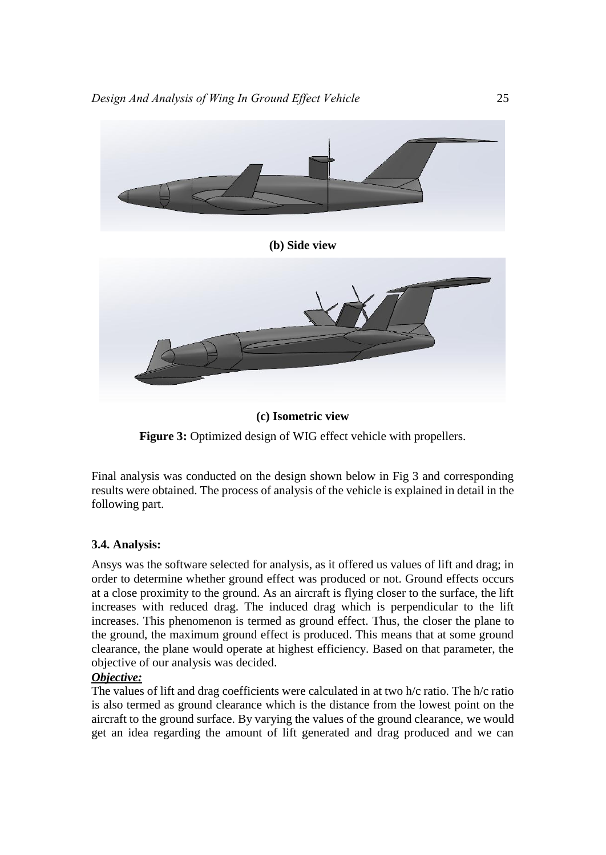



Final analysis was conducted on the design shown below in Fig 3 and corresponding results were obtained. The process of analysis of the vehicle is explained in detail in the following part.

# **3.4. Analysis:**

Ansys was the software selected for analysis, as it offered us values of lift and drag; in order to determine whether ground effect was produced or not. Ground effects occurs at a close proximity to the ground. As an aircraft is flying closer to the surface, the lift increases with reduced drag. The induced drag which is perpendicular to the lift increases. This phenomenon is termed as ground effect. Thus, the closer the plane to the ground, the maximum ground effect is produced. This means that at some ground clearance, the plane would operate at highest efficiency. Based on that parameter, the objective of our analysis was decided.

## *Objective:*

The values of lift and drag coefficients were calculated in at two h/c ratio. The h/c ratio is also termed as ground clearance which is the distance from the lowest point on the aircraft to the ground surface. By varying the values of the ground clearance, we would get an idea regarding the amount of lift generated and drag produced and we can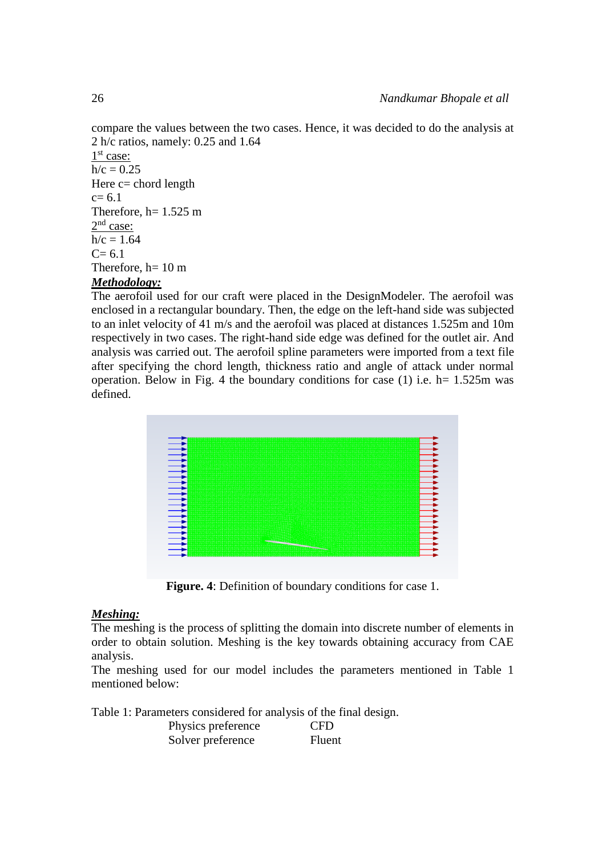compare the values between the two cases. Hence, it was decided to do the analysis at 2 h/c ratios, namely: 0.25 and 1.64 1<sup>st</sup> case:  $h/c = 0.25$ Here  $c =$  chord length  $c= 6.1$ Therefore,  $h= 1.525$  m  $2<sup>nd</sup> case:$  $h/c = 1.64$  $C = 6.1$ Therefore,  $h=10 \text{ m}$ 

## *Methodology:*

The aerofoil used for our craft were placed in the DesignModeler. The aerofoil was enclosed in a rectangular boundary. Then, the edge on the left-hand side was subjected to an inlet velocity of 41 m/s and the aerofoil was placed at distances 1.525m and 10m respectively in two cases. The right-hand side edge was defined for the outlet air. And analysis was carried out. The aerofoil spline parameters were imported from a text file after specifying the chord length, thickness ratio and angle of attack under normal operation. Below in Fig. 4 the boundary conditions for case (1) i.e.  $h= 1.525m$  was defined.



**Figure. 4**: Definition of boundary conditions for case 1.

#### *Meshing:*

The meshing is the process of splitting the domain into discrete number of elements in order to obtain solution. Meshing is the key towards obtaining accuracy from CAE analysis.

The meshing used for our model includes the parameters mentioned in Table 1 mentioned below:

Table 1: Parameters considered for analysis of the final design. Physics preference CFD

| 1 hysics preference | $\sim$ |
|---------------------|--------|
| Solver preference   | Fluent |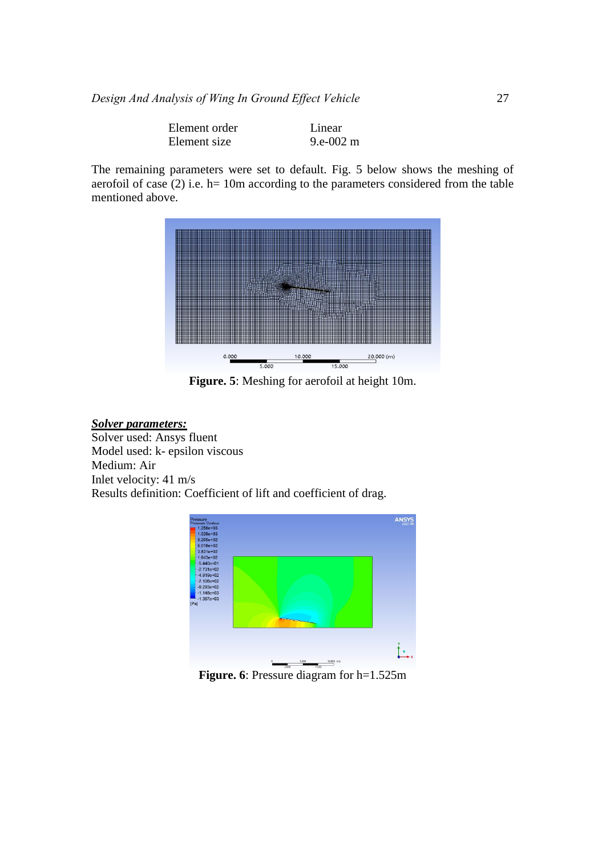| Element order | Linear    |
|---------------|-----------|
| Element size  | 9.e-002 m |

The remaining parameters were set to default. Fig. 5 below shows the meshing of aerofoil of case (2) i.e. h= 10m according to the parameters considered from the table mentioned above.



**Figure. 5**: Meshing for aerofoil at height 10m.

# *Solver parameters:*

Solver used: Ansys fluent Model used: k- epsilon viscous Medium: Air Inlet velocity: 41 m/s Results definition: Coefficient of lift and coefficient of drag.



**Figure. 6**: Pressure diagram for h=1.525m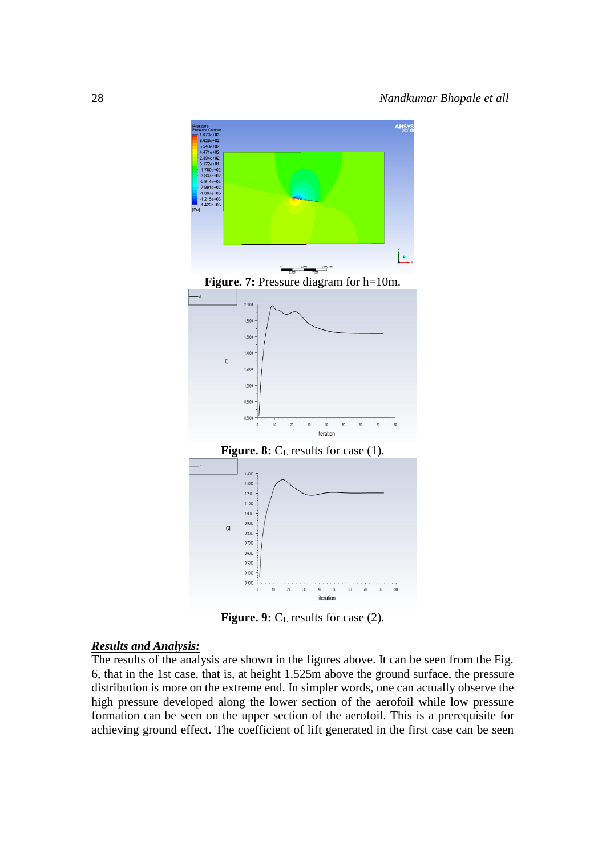

**Figure. 9:** C<sub>L</sub> results for case (2).

# *Results and Analysis:*

The results of the analysis are shown in the figures above. It can be seen from the Fig. 6, that in the 1st case, that is, at height 1.525m above the ground surface, the pressure distribution is more on the extreme end. In simpler words, one can actually observe the high pressure developed along the lower section of the aerofoil while low pressure formation can be seen on the upper section of the aerofoil. This is a prerequisite for achieving ground effect. The coefficient of lift generated in the first case can be seen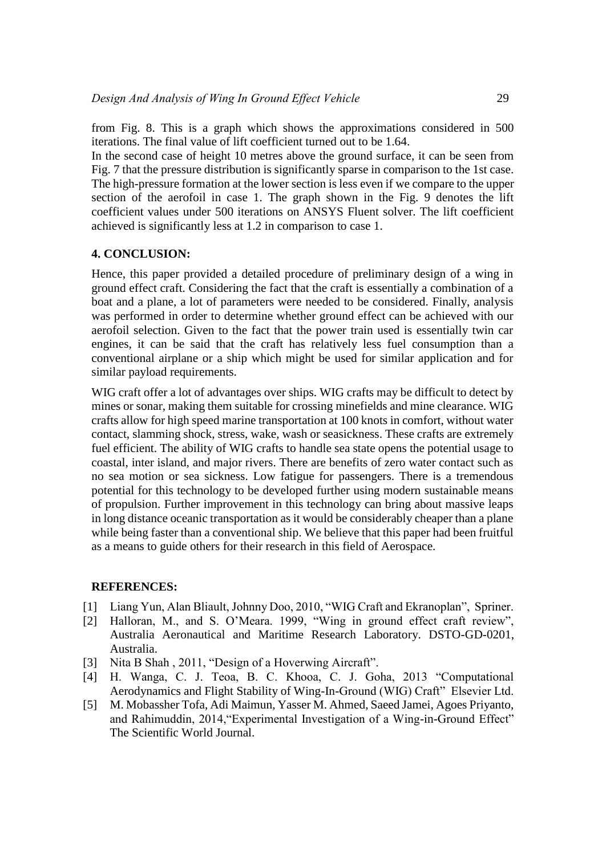from Fig. 8. This is a graph which shows the approximations considered in 500 iterations. The final value of lift coefficient turned out to be 1.64.

In the second case of height 10 metres above the ground surface, it can be seen from Fig. 7 that the pressure distribution is significantly sparse in comparison to the 1st case. The high-pressure formation at the lower section is less even if we compare to the upper section of the aerofoil in case 1. The graph shown in the Fig. 9 denotes the lift coefficient values under 500 iterations on ANSYS Fluent solver. The lift coefficient achieved is significantly less at 1.2 in comparison to case 1.

#### **4. CONCLUSION:**

Hence, this paper provided a detailed procedure of preliminary design of a wing in ground effect craft. Considering the fact that the craft is essentially a combination of a boat and a plane, a lot of parameters were needed to be considered. Finally, analysis was performed in order to determine whether ground effect can be achieved with our aerofoil selection. Given to the fact that the power train used is essentially twin car engines, it can be said that the craft has relatively less fuel consumption than a conventional airplane or a ship which might be used for similar application and for similar payload requirements.

WIG craft offer a lot of advantages over ships. WIG crafts may be difficult to detect by mines or sonar, making them suitable for crossing minefields and mine clearance. WIG crafts allow for high speed marine transportation at 100 knots in comfort, without water contact, slamming shock, stress, wake, wash or seasickness. These crafts are extremely fuel efficient. The ability of WIG crafts to handle sea state opens the potential usage to coastal, inter island, and major rivers. There are benefits of zero water contact such as no sea motion or sea sickness. Low fatigue for passengers. There is a tremendous potential for this technology to be developed further using modern sustainable means of propulsion. Further improvement in this technology can bring about massive leaps in long distance oceanic transportation as it would be considerably cheaper than a plane while being faster than a conventional ship. We believe that this paper had been fruitful as a means to guide others for their research in this field of Aerospace.

#### **REFERENCES:**

- <span id="page-18-0"></span>[1] Liang Yun, Alan Bliault, Johnny Doo, 2010, "WIG Craft and Ekranoplan", Spriner.
- [2] Halloran, M., and S. O'Meara. 1999, "Wing in ground effect craft review", Australia Aeronautical and Maritime Research Laboratory. DSTO-GD-0201, Australia.
- <span id="page-18-1"></span>[3] Nita B Shah, 2011, "Design of a Hoverwing Aircraft".
- [4] H. Wanga, C. J. Teoa, B. C. Khooa, C. J. Goha, 2013 "Computational Aerodynamics and Flight Stability of Wing-In-Ground (WIG) Craft" Elsevier Ltd.
- [5] M. Mobassher Tofa, Adi Maimun, Yasser M. Ahmed, Saeed Jamei, Agoes Priyanto, and Rahimuddin, 2014,"Experimental Investigation of a Wing-in-Ground Effect" The Scientific World Journal.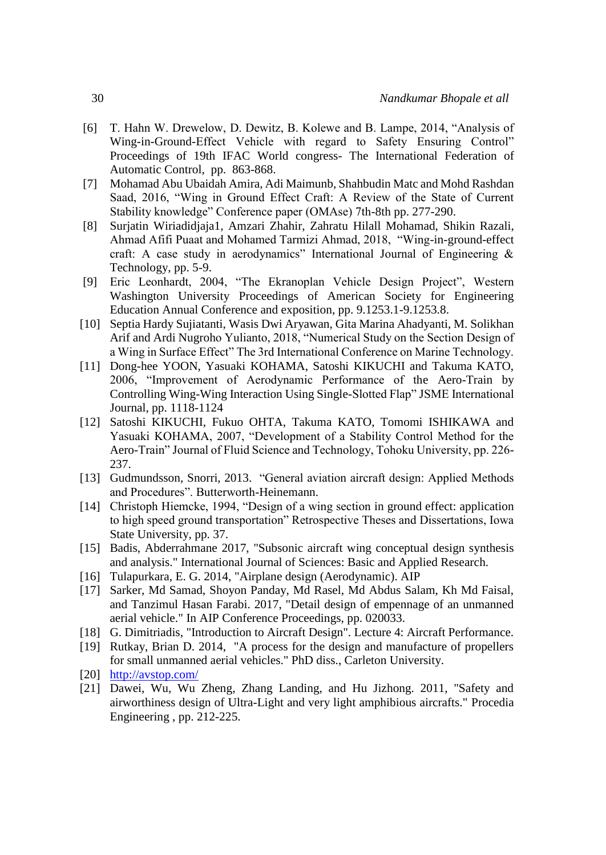- [6] T. Hahn W. Drewelow, D. Dewitz, B. Kolewe and B. Lampe, 2014, "Analysis of Wing-in-Ground-Effect Vehicle with regard to Safety Ensuring Control" Proceedings of 19th IFAC World congress- The International Federation of Automatic Control, pp. 863-868.
- [7] Mohamad Abu Ubaidah Amira, Adi Maimunb, Shahbudin Matc and Mohd Rashdan Saad, 2016, "Wing in Ground Effect Craft: A Review of the State of Current Stability knowledge" Conference paper (OMAse) 7th-8th pp. 277-290.
- [8] Surjatin Wiriadidjaja1, Amzari Zhahir, Zahratu Hilall Mohamad, Shikin Razali, Ahmad Afifi Puaat and Mohamed Tarmizi Ahmad, 2018, "Wing-in-ground-effect craft: A case study in aerodynamics" International Journal of Engineering  $\&$ Technology, pp. 5-9.
- [9] Eric Leonhardt, 2004, "The Ekranoplan Vehicle Design Project", Western Washington University Proceedings of American Society for Engineering Education Annual Conference and exposition, pp. 9.1253.1-9.1253.8.
- [10] Septia Hardy Sujiatanti, Wasis Dwi Aryawan, Gita Marina Ahadyanti, M. Solikhan Arif and Ardi Nugroho Yulianto, 2018, "Numerical Study on the Section Design of a Wing in Surface Effect" The 3rd International Conference on Marine Technology.
- [11] Dong-hee YOON, Yasuaki KOHAMA, Satoshi KIKUCHI and Takuma KATO, 2006, "Improvement of Aerodynamic Performance of the Aero-Train by Controlling Wing-Wing Interaction Using Single-Slotted Flap" JSME International Journal, pp. 1118-1124
- [12] Satoshi KIKUCHI, Fukuo OHTA, Takuma KATO, Tomomi ISHIKAWA and Yasuaki KOHAMA, 2007, "Development of a Stability Control Method for the Aero-Train" Journal of Fluid Science and Technology, Tohoku University, pp. 226- 237.
- <span id="page-19-7"></span>[13] Gudmundsson, Snorri, 2013. "General aviation aircraft design: Applied Methods and Procedures". Butterworth-Heinemann.
- [14] Christoph Hiemcke, 1994, "Design of a wing section in ground effect: application to high speed ground transportation" Retrospective Theses and Dissertations, Iowa State University, pp. 37.
- <span id="page-19-0"></span>[15] Badis, Abderrahmane 2017, "Subsonic aircraft wing conceptual design synthesis and analysis." International Journal of Sciences: Basic and Applied Research.
- <span id="page-19-1"></span>[16] Tulapurkara, E. G. 2014, "Airplane design (Aerodynamic). AIP
- <span id="page-19-2"></span>[17] Sarker, Md Samad, Shoyon Panday, Md Rasel, Md Abdus Salam, Kh Md Faisal, and Tanzimul Hasan Farabi. 2017, "Detail design of empennage of an unmanned aerial vehicle." In AIP Conference Proceedings, pp. 020033.
- <span id="page-19-3"></span>[18] G. Dimitriadis, "Introduction to Aircraft Design". Lecture 4: Aircraft Performance.
- <span id="page-19-4"></span>[19] Rutkay, Brian D. 2014, "A process for the design and manufacture of propellers for small unmanned aerial vehicles." PhD diss., Carleton University.
- <span id="page-19-5"></span>[20] <http://avstop.com/>
- <span id="page-19-6"></span>[21] Dawei, Wu, Wu Zheng, Zhang Landing, and Hu Jizhong. 2011, "Safety and airworthiness design of Ultra-Light and very light amphibious aircrafts." Procedia Engineering , pp. 212-225.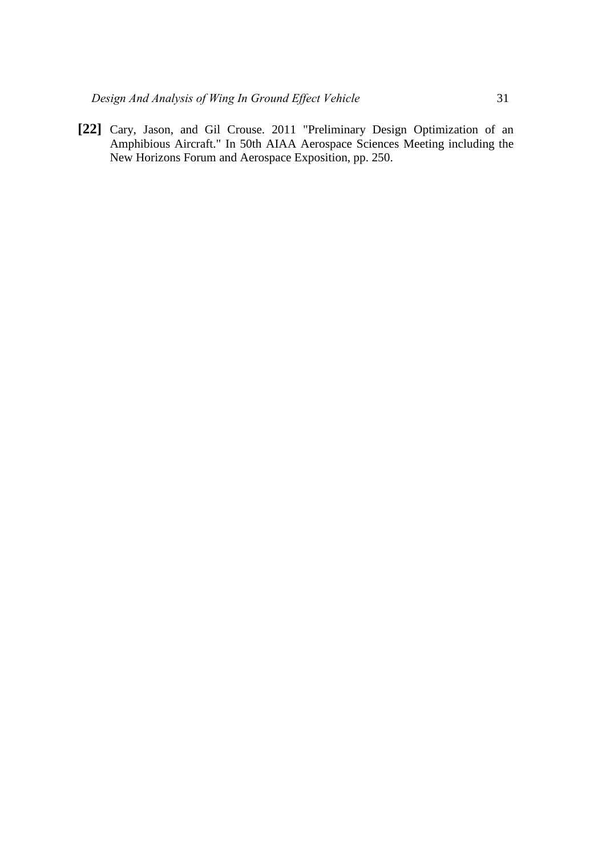<span id="page-20-0"></span>**[22]** Cary, Jason, and Gil Crouse. 2011 "Preliminary Design Optimization of an Amphibious Aircraft." In 50th AIAA Aerospace Sciences Meeting including the New Horizons Forum and Aerospace Exposition, pp. 250.